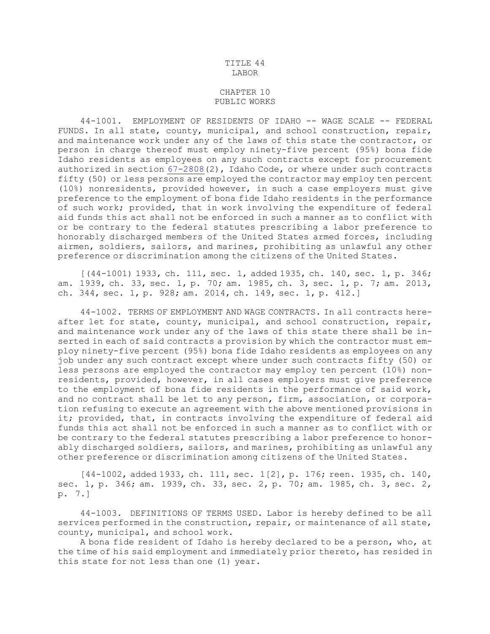## TITLE 44 LABOR

## CHAPTER 10 PUBLIC WORKS

44-1001. EMPLOYMENT OF RESIDENTS OF IDAHO -- WAGE SCALE -- FEDERAL FUNDS. In all state, county, municipal, and school construction, repair, and maintenance work under any of the laws of this state the contractor, or person in charge thereof must employ ninety-five percent (95%) bona fide Idaho residents as employees on any such contracts except for procurement authorized in section [67-2808](https://legislature.idaho.gov/statutesrules/idstat/Title67/T67CH28/SECT67-2808)(2), Idaho Code, or where under such contracts fifty (50) or less persons are employed the contractor may employ ten percent (10%) nonresidents, provided however, in such <sup>a</sup> case employers must give preference to the employment of bona fide Idaho residents in the performance of such work; provided, that in work involving the expenditure of federal aid funds this act shall not be enforced in such <sup>a</sup> manner as to conflict with or be contrary to the federal statutes prescribing <sup>a</sup> labor preference to honorably discharged members of the United States armed forces, including airmen, soldiers, sailors, and marines, prohibiting as unlawful any other preference or discrimination among the citizens of the United States.

[(44-1001) 1933, ch. 111, sec. 1, added 1935, ch. 140, sec. 1, p. 346; am. 1939, ch. 33, sec. 1, p. 70; am. 1985, ch. 3, sec. 1, p. 7; am. 2013, ch. 344, sec. 1, p. 928; am. 2014, ch. 149, sec. 1, p. 412.]

44-1002. TERMS OF EMPLOYMENT AND WAGE CONTRACTS. In all contracts hereafter let for state, county, municipal, and school construction, repair, and maintenance work under any of the laws of this state there shall be inserted in each of said contracts <sup>a</sup> provision by which the contractor must employ ninety-five percent (95%) bona fide Idaho residents as employees on any job under any such contract except where under such contracts fifty (50) or less persons are employed the contractor may employ ten percent (10%) nonresidents, provided, however, in all cases employers must give preference to the employment of bona fide residents in the performance of said work, and no contract shall be let to any person, firm, association, or corporation refusing to execute an agreement with the above mentioned provisions in it; provided, that, in contracts involving the expenditure of federal aid funds this act shall not be enforced in such <sup>a</sup> manner as to conflict with or be contrary to the federal statutes prescribing <sup>a</sup> labor preference to honorably discharged soldiers, sailors, and marines, prohibiting as unlawful any other preference or discrimination among citizens of the United States.

[44-1002, added 1933, ch. 111, sec. 1[2], p. 176; reen. 1935, ch. 140, sec. 1, p. 346; am. 1939, ch. 33, sec. 2, p. 70; am. 1985, ch. 3, sec. 2, p. 7.]

44-1003. DEFINITIONS OF TERMS USED. Labor is hereby defined to be all services performed in the construction, repair, or maintenance of all state, county, municipal, and school work.

<sup>A</sup> bona fide resident of Idaho is hereby declared to be <sup>a</sup> person, who, at the time of his said employment and immediately prior thereto, has resided in this state for not less than one (1) year.